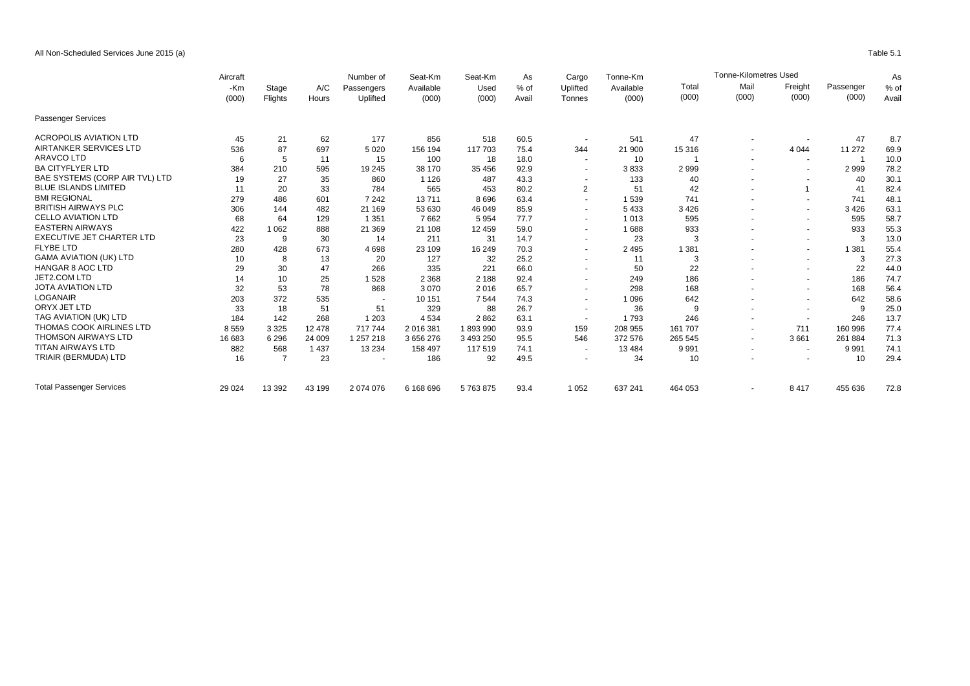All Non-Scheduled Services June 2015 (a) Table 5.1

|                                  | Aircraft |                | A/C<br>Hours | Number of<br>Passengers<br>Uplifted | Seat-Km<br>Available<br>(000) | Seat-Km<br>Used<br>(000) | As<br>$%$ of<br>Avail | Cargo<br>Uplifted<br>Tonnes | Tonne-Km<br>Available<br>(000) | <b>Tonne-Kilometres Used</b> |                          |                          |                    |                 |
|----------------------------------|----------|----------------|--------------|-------------------------------------|-------------------------------|--------------------------|-----------------------|-----------------------------|--------------------------------|------------------------------|--------------------------|--------------------------|--------------------|-----------------|
|                                  | -Km      | Stage          |              |                                     |                               |                          |                       |                             |                                | Total<br>(000)               | Mail<br>(000)            | Freight<br>(000)         | Passenger<br>(000) | $%$ of<br>Avail |
|                                  | (000)    | Flights        |              |                                     |                               |                          |                       |                             |                                |                              |                          |                          |                    |                 |
| Passenger Services               |          |                |              |                                     |                               |                          |                       |                             |                                |                              |                          |                          |                    |                 |
| <b>ACROPOLIS AVIATION LTD</b>    | 45       | 21             | 62           | 177                                 | 856                           | 518                      | 60.5                  |                             | 541                            | 47                           | $\overline{\phantom{a}}$ |                          | 47                 | 8.7             |
| AIRTANKER SERVICES LTD           | 536      | 87             | 697          | 5 0 20                              | 156 194                       | 117 703                  | 75.4                  | 344                         | 21 900                         | 15 316                       | $\blacksquare$           | 4 0 4 4                  | 11 272             | 69.9            |
| <b>ARAVCO LTD</b>                | 6        | 5              | 11           | 15                                  | 100                           | 18                       | 18.0                  | $\sim$                      | 10                             |                              | $\sim$                   | $\sim$                   |                    | 10.0            |
| <b>BA CITYFLYER LTD</b>          | 384      | 210            | 595          | 19 245                              | 38 170                        | 35 456                   | 92.9                  | $\blacksquare$              | 3833                           | 2999                         |                          | $\overline{\phantom{a}}$ | 2999               | 78.2            |
| BAE SYSTEMS (CORP AIR TVL) LTD   | 19       | 27             | 35           | 860                                 | 1 1 2 6                       | 487                      | 43.3                  |                             | 133                            | 40                           |                          |                          | 40                 | 30.1            |
| <b>BLUE ISLANDS LIMITED</b>      | 11       | 20             | 33           | 784                                 | 565                           | 453                      | 80.2                  | $\overline{2}$              | 51                             | 42                           |                          | -1                       | 41                 | 82.4            |
| <b>BMI REGIONAL</b>              | 279      | 486            | 601          | 7 2 4 2                             | 13711                         | 8696                     | 63.4                  | $\blacksquare$              | 1539                           | 741                          |                          | $\overline{\phantom{a}}$ | 741                | 48.1            |
| <b>BRITISH AIRWAYS PLC</b>       | 306      | 144            | 482          | 21 169                              | 53 630                        | 46 049                   | 85.9                  | $\overline{\phantom{a}}$    | 5 4 3 3                        | 3 4 2 6                      |                          | $\blacksquare$           | 3 4 2 6            | 63.1            |
| <b>CELLO AVIATION LTD</b>        | 68       | 64             | 129          | 1 3 5 1                             | 7662                          | 5954                     | 77.7                  | $\blacksquare$              | 1 0 1 3                        | 595                          |                          | $\blacksquare$           | 595                | 58.7            |
| <b>EASTERN AIRWAYS</b>           | 422      | 1062           | 888          | 21 3 69                             | 21 108                        | 12 459                   | 59.0                  | $\sim$                      | 1688                           | 933                          |                          | $\overline{\phantom{a}}$ | 933                | 55.3            |
| <b>EXECUTIVE JET CHARTER LTD</b> | 23       | 9              | 30           | 14                                  | 211                           | 31                       | 14.7                  | $\sim$                      | 23                             |                              |                          | $\overline{\phantom{a}}$ | 3                  | 13.0            |
| <b>FLYBE LTD</b>                 | 280      | 428            | 673          | 4698                                | 23 109                        | 16 249                   | 70.3                  | $\ddot{\phantom{1}}$        | 2 4 9 5                        | 1 3 8 1                      |                          | $\overline{\phantom{a}}$ | 1 3 8 1            | 55.4            |
| <b>GAMA AVIATION (UK) LTD</b>    | 10       | 8              | 13           | 20                                  | 127                           | 32                       | 25.2                  | $\overline{\phantom{a}}$    | 11                             | 3                            | ٠                        | $\overline{\phantom{a}}$ | 3                  | 27.3            |
| <b>HANGAR 8 AOC LTD</b>          | 29       | 30             | 47           | 266                                 | 335                           | 221                      | 66.0                  | $\blacksquare$              | 50                             | 22                           |                          | $\overline{\phantom{a}}$ | 22                 | 44.0            |
| JET2.COM LTD                     | 14       | 10             | 25           | 1528                                | 2 3 6 8                       | 2 1 8 8                  | 92.4                  | $\blacksquare$              | 249                            | 186                          |                          | $\blacksquare$           | 186                | 74.7            |
| <b>JOTA AVIATION LTD</b>         | 32       | 53             | 78           | 868                                 | 3070                          | 2016                     | 65.7                  | $\blacksquare$              | 298                            | 168                          |                          | $\overline{\phantom{a}}$ | 168                | 56.4            |
| <b>LOGANAIR</b>                  | 203      | 372            | 535          |                                     | 10 151                        | 7 5 4 4                  | 74.3                  | $\overline{\phantom{a}}$    | 1 0 9 6                        | 642                          |                          | $\overline{\phantom{a}}$ | 642                | 58.6            |
| ORYX JET LTD                     | 33       | 18             | 51           | 51                                  | 329                           | 88                       | 26.7                  | $\blacksquare$              | 36                             | 9                            | ٠                        | $\overline{\phantom{a}}$ | 9                  | 25.0            |
| TAG AVIATION (UK) LTD            | 184      | 142            | 268          | 1 2 0 3                             | 4 5 3 4                       | 2862                     | 63.1                  | $\sim$                      | 1793                           | 246                          |                          | $\overline{\phantom{a}}$ | 246                | 13.7            |
| THOMAS COOK AIRLINES LTD         | 8559     | 3 3 2 5        | 12 478       | 717744                              | 2 016 381                     | 1893990                  | 93.9                  | 159                         | 208 955                        | 161 707                      | ٠                        | 711                      | 160 996            | 77.4            |
| <b>THOMSON AIRWAYS LTD</b>       | 16 683   | 6 2 9 6        | 24 009       | 1 257 218                           | 3 656 276                     | 3 493 250                | 95.5                  | 546                         | 372 576                        | 265 545                      | $\tilde{\phantom{a}}$    | 3661                     | 261 884            | 71.3            |
| <b>TITAN AIRWAYS LTD</b>         | 882      | 568            | 1 4 3 7      | 13 2 34                             | 158 497                       | 117 519                  | 74.1                  | $\overline{\phantom{a}}$    | 13 4 84                        | 9991                         |                          | $\overline{\phantom{a}}$ | 9 9 9 1            | 74.1            |
| TRIAIR (BERMUDA) LTD             | 16       | $\overline{7}$ | 23           |                                     | 186                           | 92                       | 49.5                  | $\blacksquare$              | 34                             | 10                           |                          | $\overline{\phantom{a}}$ | 10                 | 29.4            |
| <b>Total Passenger Services</b>  | 29 0 24  | 13 3 9 2       | 43 199       | 2 074 076                           | 6 168 696                     | 5763875                  | 93.4                  | 1 0 5 2                     | 637 241                        | 464 053                      | $\overline{\phantom{a}}$ | 8417                     | 455 636            | 72.8            |